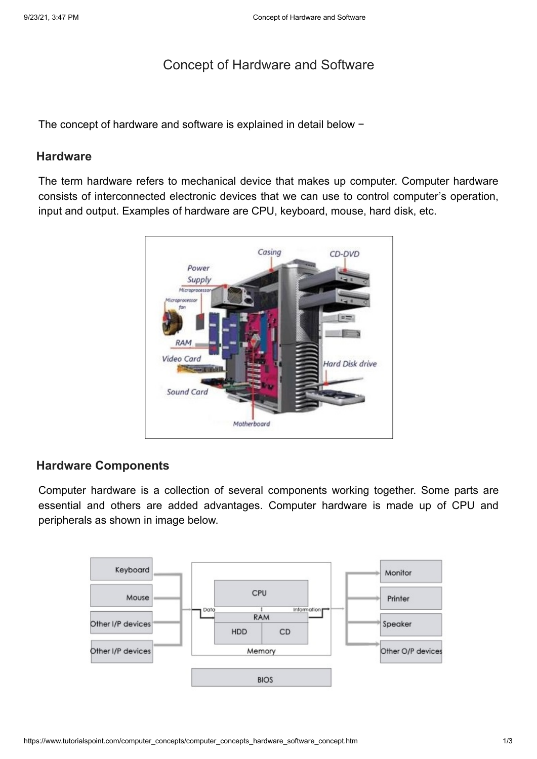# Concept of Hardware and Software

The concept of hardware and software is explained in detail below −

## **Hardware**

The term hardware refers to mechanical device that makes up computer. Computer hardware consists of interconnected electronic devices that we can use to control computer's operation, input and output. Examples of hardware are CPU, keyboard, mouse, hard disk, etc.



### **Hardware Components**

Computer hardware is a collection of several components working together. Some parts are essential and others are added advantages. Computer hardware is made up of CPU and peripherals as shown in image below.

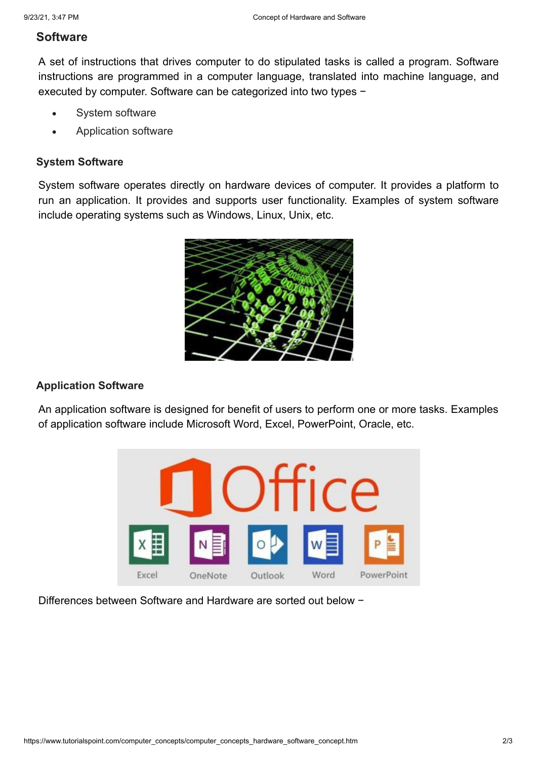#### **Software**

A set of instructions that drives computer to do stipulated tasks is called a program. Software instructions are programmed in a computer language, translated into machine language, and executed by computer. Software can be categorized into two types −

- System software
- Application software

#### **System Software**

System software operates directly on hardware devices of computer. It provides a platform to run an application. It provides and supports user functionality. Examples of system software include operating systems such as Windows, Linux, Unix, etc.



#### **Application Software**

An application software is designed for benefit of users to perform one or more tasks. Examples of application software include Microsoft Word, Excel, PowerPoint, Oracle, etc.



Differences between Software and Hardware are sorted out below −